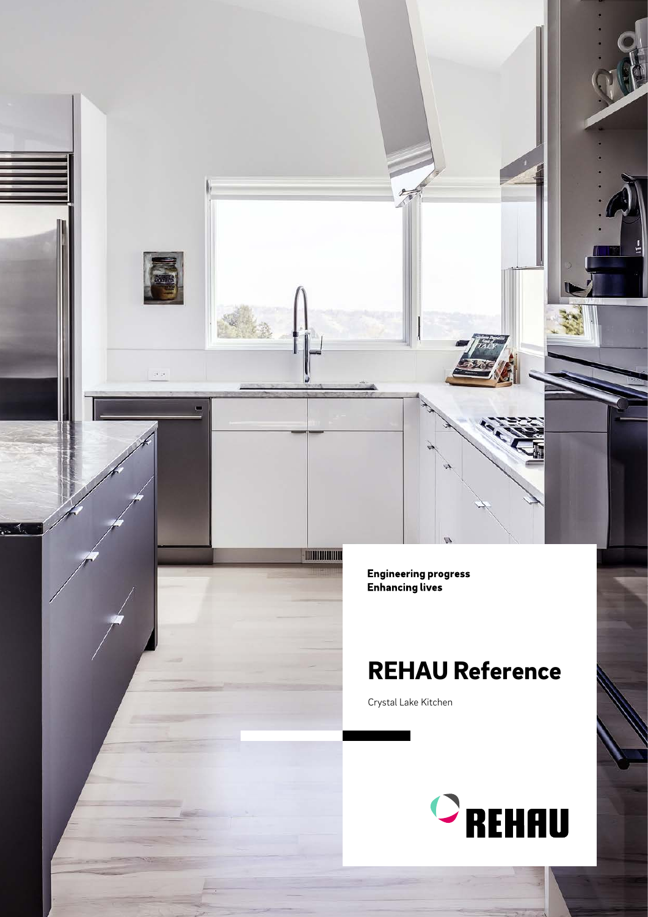Engineering progress<br>Enhancing lives

**- MINIMUM** 

 $\bar{\omega}$  is

## REHAU Reference

Crystal Lake Kitchen

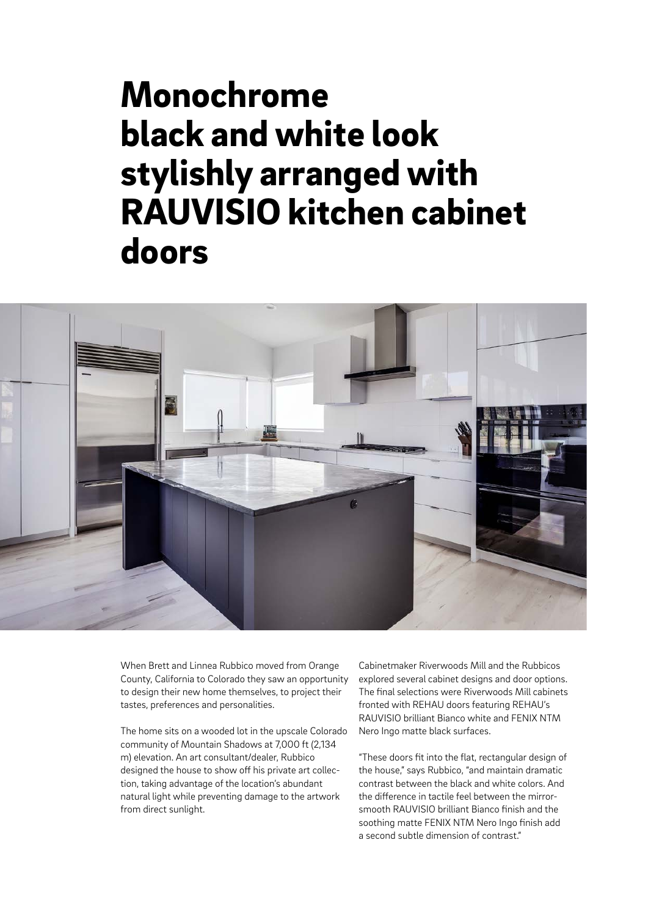## Monochrome black and white look stylishly arranged with RAUVISIO kitchen cabinet doors



When Brett and Linnea Rubbico moved from Orange County, California to Colorado they saw an opportunity to design their new home themselves, to project their tastes, preferences and personalities.

The home sits on a wooded lot in the upscale Colorado community of Mountain Shadows at 7,000 ft (2,134 m) elevation. An art consultant/dealer, Rubbico designed the house to show off his private art collection, taking advantage of the location's abundant natural light while preventing damage to the artwork from direct sunlight.

Cabinetmaker Riverwoods Mill and the Rubbicos explored several cabinet designs and door options. The final selections were Riverwoods Mill cabinets fronted with REHAU doors featuring REHAU's RAUVISIO brilliant Bianco white and FENIX NTM Nero Ingo matte black surfaces.

"These doors fit into the flat, rectangular design of the house," says Rubbico, "and maintain dramatic contrast between the black and white colors. And the difference in tactile feel between the mirrorsmooth RAUVISIO brilliant Bianco finish and the soothing matte FENIX NTM Nero Ingo finish add a second subtle dimension of contrast."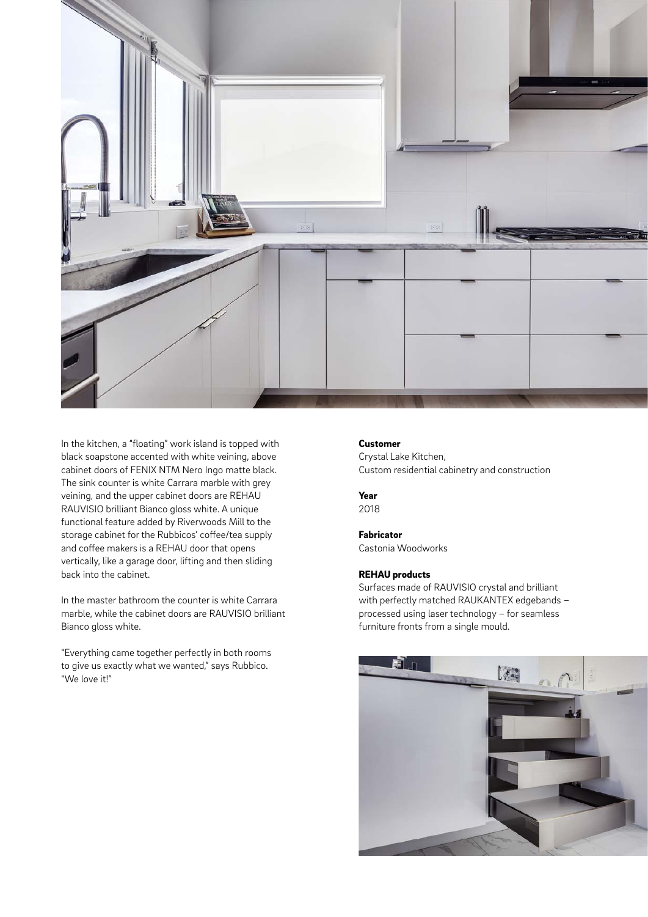

In the kitchen, a "floating" work island is topped with black soapstone accented with white veining, above cabinet doors of FENIX NTM Nero Ingo matte black. The sink counter is white Carrara marble with grey veining, and the upper cabinet doors are REHAU RAUVISIO brilliant Bianco gloss white. A unique functional feature added by Riverwoods Mill to the storage cabinet for the Rubbicos' coffee/tea supply and coffee makers is a REHAU door that opens vertically, like a garage door, lifting and then sliding back into the cabinet.

In the master bathroom the counter is white Carrara marble, while the cabinet doors are RAUVISIO brilliant Bianco gloss white.

"Everything came together perfectly in both rooms to give us exactly what we wanted," says Rubbico. "We love it!"

## Customer

Crystal Lake Kitchen, Custom residential cabinetry and construction

Year 2018

Fabricator Castonia Woodworks

## REHAU products

Surfaces made of RAUVISIO crystal and brilliant with perfectly matched RAUKANTEX edgebands – processed using laser technology – for seamless furniture fronts from a single mould.